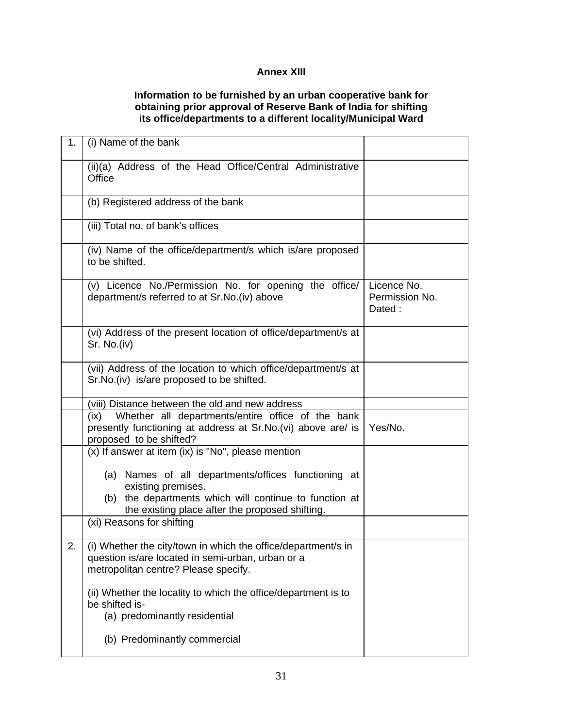## **Annex XIII**

## **Information to be furnished by an urban cooperative bank for obtaining prior approval of Reserve Bank of India for shifting its office/departments to a different locality/Municipal Ward**

| 1. | (i) Name of the bank                                                                                                                                       |                                         |
|----|------------------------------------------------------------------------------------------------------------------------------------------------------------|-----------------------------------------|
|    | (ii)(a) Address of the Head Office/Central Administrative<br>Office                                                                                        |                                         |
|    | (b) Registered address of the bank                                                                                                                         |                                         |
|    | (iii) Total no. of bank's offices                                                                                                                          |                                         |
|    | (iv) Name of the office/department/s which is/are proposed<br>to be shifted.                                                                               |                                         |
|    | (v) Licence No./Permission No. for opening the office/<br>department/s referred to at Sr.No.(iv) above                                                     | Licence No.<br>Permission No.<br>Dated: |
|    | (vi) Address of the present location of office/department/s at<br>Sr. No.(iv)                                                                              |                                         |
|    | (vii) Address of the location to which office/department/s at<br>Sr. No. (iv) is/are proposed to be shifted.                                               |                                         |
|    | (viii) Distance between the old and new address                                                                                                            |                                         |
|    | Whether all departments/entire office of the bank<br>(ix)<br>presently functioning at address at Sr.No.(vi) above are/ is<br>proposed to be shifted?       | Yes/No.                                 |
|    | (x) If answer at item (ix) is "No", please mention                                                                                                         |                                         |
|    | (a) Names of all departments/offices functioning at<br>existing premises.<br>(b) the departments which will continue to function at                        |                                         |
|    | the existing place after the proposed shifting.                                                                                                            |                                         |
|    | (xi) Reasons for shifting                                                                                                                                  |                                         |
| 2. | (i) Whether the city/town in which the office/department/s in<br>question is/are located in semi-urban, urban or a<br>metropolitan centre? Please specify. |                                         |
|    | (ii) Whether the locality to which the office/department is to<br>be shifted is-<br>(a) predominantly residential                                          |                                         |
|    | (b) Predominantly commercial                                                                                                                               |                                         |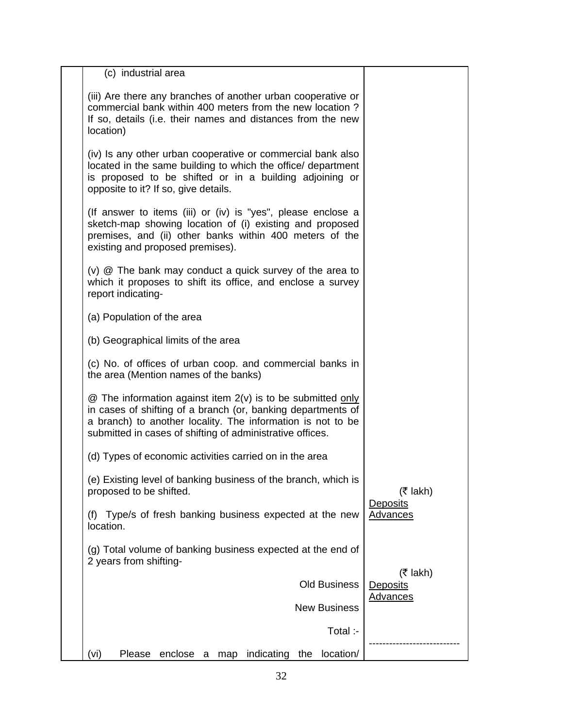| (c) industrial area                                                                                                                                                                                                                                     |                                                   |
|---------------------------------------------------------------------------------------------------------------------------------------------------------------------------------------------------------------------------------------------------------|---------------------------------------------------|
| (iii) Are there any branches of another urban cooperative or<br>commercial bank within 400 meters from the new location?<br>If so, details (i.e. their names and distances from the new<br>location)                                                    |                                                   |
| (iv) Is any other urban cooperative or commercial bank also<br>located in the same building to which the office/ department<br>is proposed to be shifted or in a building adjoining or<br>opposite to it? If so, give details.                          |                                                   |
| (If answer to items (iii) or (iv) is "yes", please enclose a<br>sketch-map showing location of (i) existing and proposed<br>premises, and (ii) other banks within 400 meters of the<br>existing and proposed premises).                                 |                                                   |
| $(v)$ $@$ The bank may conduct a quick survey of the area to<br>which it proposes to shift its office, and enclose a survey<br>report indicating-                                                                                                       |                                                   |
| (a) Population of the area                                                                                                                                                                                                                              |                                                   |
| (b) Geographical limits of the area                                                                                                                                                                                                                     |                                                   |
| (c) No. of offices of urban coop. and commercial banks in<br>the area (Mention names of the banks)                                                                                                                                                      |                                                   |
| @ The information against item 2(v) is to be submitted only<br>in cases of shifting of a branch (or, banking departments of<br>a branch) to another locality. The information is not to be<br>submitted in cases of shifting of administrative offices. |                                                   |
| (d) Types of economic activities carried on in the area                                                                                                                                                                                                 |                                                   |
| (e) Existing level of banking business of the branch, which is<br>proposed to be shifted.                                                                                                                                                               | $(5$ lakh)                                        |
| (f) Type/s of fresh banking business expected at the new<br>location.                                                                                                                                                                                   | Deposits<br><b>Advances</b>                       |
| (g) Total volume of banking business expected at the end of<br>2 years from shifting-                                                                                                                                                                   |                                                   |
| <b>Old Business</b>                                                                                                                                                                                                                                     | $($ ₹ lakh)<br><b>Deposits</b><br><b>Advances</b> |
| <b>New Business</b>                                                                                                                                                                                                                                     |                                                   |
| Total :-                                                                                                                                                                                                                                                |                                                   |
| (vi)<br>enclose a<br>indicating<br>location/<br>Please<br>the<br>map                                                                                                                                                                                    |                                                   |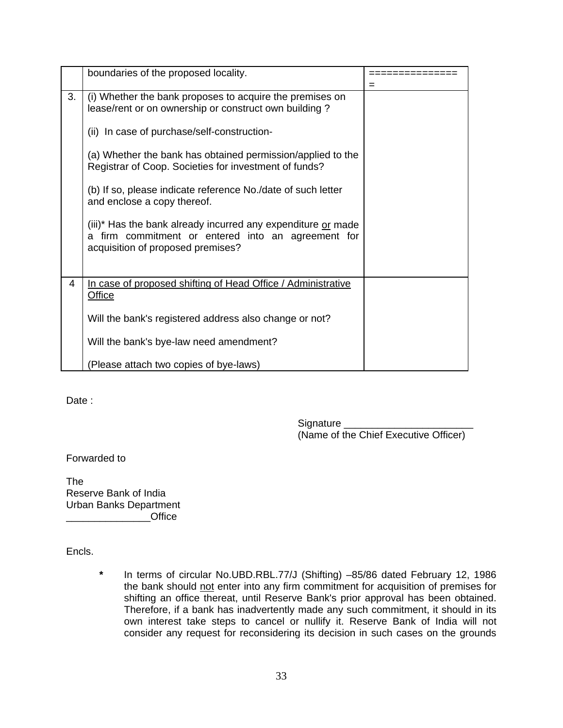|    | boundaries of the proposed locality.                                                                                                                        | $=$ |
|----|-------------------------------------------------------------------------------------------------------------------------------------------------------------|-----|
| 3. | (i) Whether the bank proposes to acquire the premises on<br>lease/rent or on ownership or construct own building?                                           |     |
|    | (ii) In case of purchase/self-construction-                                                                                                                 |     |
|    | (a) Whether the bank has obtained permission/applied to the<br>Registrar of Coop. Societies for investment of funds?                                        |     |
|    | (b) If so, please indicate reference No./date of such letter<br>and enclose a copy thereof.                                                                 |     |
|    | (iii)* Has the bank already incurred any expenditure or made<br>firm commitment or entered into an agreement for<br>a.<br>acquisition of proposed premises? |     |
| 4  | In case of proposed shifting of Head Office / Administrative<br><b>Office</b>                                                                               |     |
|    | Will the bank's registered address also change or not?                                                                                                      |     |
|    | Will the bank's bye-law need amendment?                                                                                                                     |     |
|    | (Please attach two copies of bye-laws)                                                                                                                      |     |

Date:

Signature (Name of the Chief Executive Officer)

Forwarded to

The Reserve Bank of India Urban Banks Department \_\_\_\_\_\_\_\_\_\_\_\_\_\_\_Office

Encls.

**\*** In terms of circular No.UBD.RBL.77/J (Shifting) –85/86 dated February 12, 1986 the bank should not enter into any firm commitment for acquisition of premises for shifting an office thereat, until Reserve Bank's prior approval has been obtained. Therefore, if a bank has inadvertently made any such commitment, it should in its own interest take steps to cancel or nullify it. Reserve Bank of India will not consider any request for reconsidering its decision in such cases on the grounds